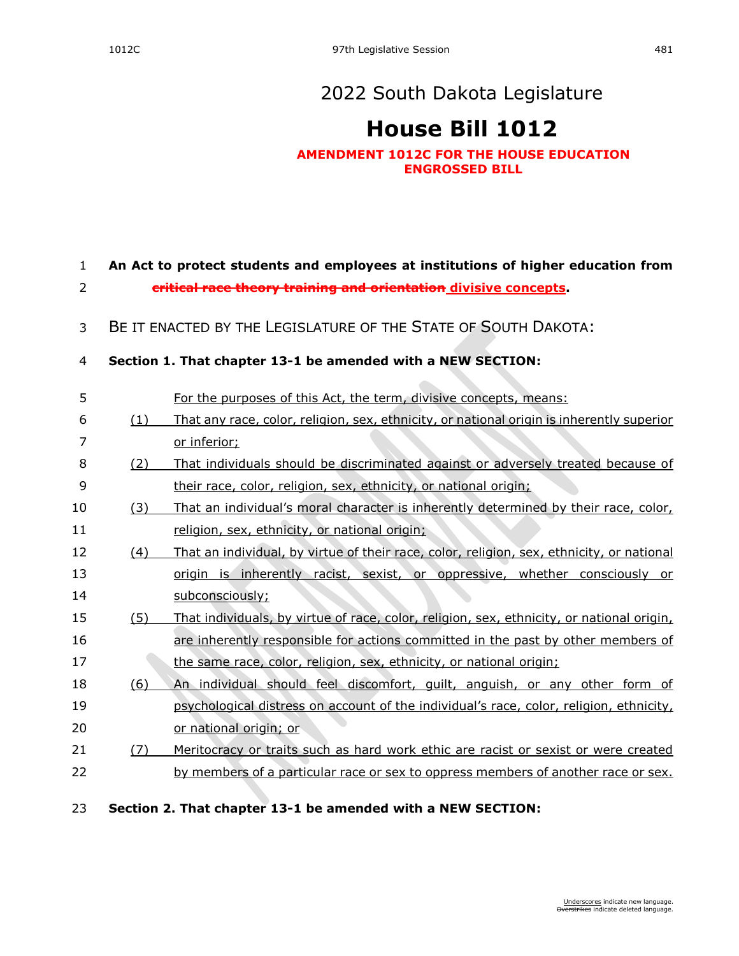## **[House Bill 1012](https://sdlegislature.gov/Session/Bill/23006)**

## **AMENDMENT 1012C FOR THE HOUSE EDUCATION ENGROSSED BILL**

## 1 **An Act to protect students and employees at institutions of higher education from** 2 **critical race theory training and orientation divisive concepts.**

3 BE IT ENACTED BY THE LEGISLATURE OF THE STATE OF SOUTH DAKOTA:

## 4 **Section 1. That chapter [13-1](https://sdlegislature.gov/Statutes?Statute=13-1) be amended with a NEW SECTION:**

| 5  |     | For the purposes of this Act, the term, divisive concepts, means:                         |
|----|-----|-------------------------------------------------------------------------------------------|
| 6  | (1) | That any race, color, religion, sex, ethnicity, or national origin is inherently superior |
| 7  |     | or inferior;                                                                              |
| 8  | (2) | That individuals should be discriminated against or adversely treated because of          |
| 9  |     | their race, color, religion, sex, ethnicity, or national origin;                          |
| 10 | (3) | That an individual's moral character is inherently determined by their race, color,       |
| 11 |     | religion, sex, ethnicity, or national origin;                                             |
| 12 | (4) | That an individual, by virtue of their race, color, religion, sex, ethnicity, or national |
| 13 |     | origin is inherently racist, sexist, or oppressive, whether consciously or                |
| 14 |     | subconsciously;                                                                           |
| 15 | (5) | That individuals, by virtue of race, color, religion, sex, ethnicity, or national origin, |
| 16 |     | are inherently responsible for actions committed in the past by other members of          |
| 17 |     | the same race, color, religion, sex, ethnicity, or national origin;                       |
| 18 | (6) | An individual should feel discomfort, quilt, anguish, or any other form of                |
| 19 |     | psychological distress on account of the individual's race, color, religion, ethnicity,   |
| 20 |     | or national origin; or                                                                    |
| 21 | (7) | Meritocracy or traits such as hard work ethic are racist or sexist or were created        |
| 22 |     | by members of a particular race or sex to oppress members of another race or sex.         |
| າາ |     | That chanter 12 1 he amended with a NEW CECTION.                                          |
|    |     |                                                                                           |

23 **Section 2. That chapter [13-1](https://sdlegislature.gov/Statutes?Statute=13-1) be amended with a NEW SECTION:**